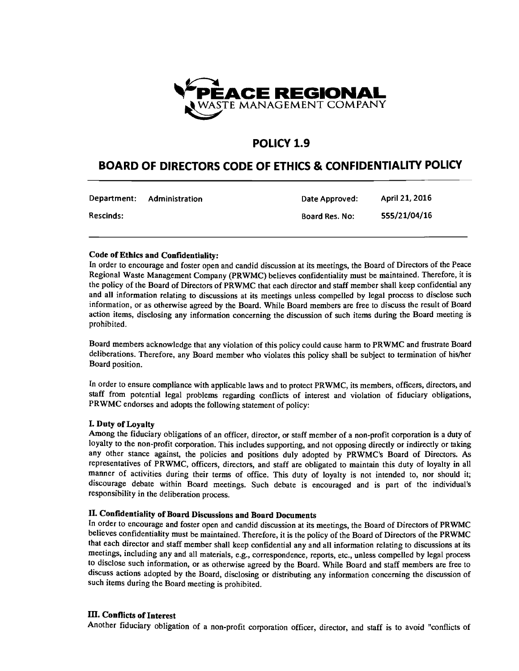

# **POLICY 1.9**

# **BOARD OF DIRECTORS CODE OF ETHICS & CONFIDENTIALITY POLICY**

| Department:      | Administration | Date Approved:        | April 21, 2016 |
|------------------|----------------|-----------------------|----------------|
| <b>Rescinds:</b> |                | <b>Board Res. No:</b> | 555/21/04/16   |

### Code of Ethics and Confidentiality:

In order to encourage and foster open and candid discussion at its meetings, the Board of Directors of the Peace Regional Waste Management Company (PRWMC) believes confidentiality must be maintained. Therefore, it is the policy of the Board of Directors of PRWMC that each director and staff member shall keep confidential any and all information relating to discussions at its meetings unless compelled by legal process to disclose such information, or as otherwise agreed by the Board. While Board members are free to discuss the result of Board action items, disclosing any information concerning the discussion of such items during the Board meeting is prohibited.

Board members acknowledge that any violation of this policy could cause harm to PRWMC and frustrate Board deliberations. Therefore, any Board member who violates this policy shall be subject to termination of his/her Board position.

In order to ensure compliance with applicable laws and to protect PRWMC, its members, officers, directors, and staff from potential legal problems regarding conflicts of interest and violation of fiduciary obligations, PRWMC endorses and adopts the following statement of policy:

### I. Duty of Loyalty

Among the fiduciary obligations of an officer, director, or staff member of a non-profit corporation is a duty of loyalty to the non-profit corporation. This includes supporting, and not opposing directly or indirectly or taking any other stance against, the policies and positions duly adopted by PRWMC's Board of Directors. As representatives of PRWMC, officers, directors, and staff are obligated to maintain this duty of loyalty in all manner of activities during their terms of office. This duty of loyalty is not intended to, nor should it; discourage debate within Board meetings. Such debate is encouraged and is part of the individual's responsibility in the deliberation process.

# II. Confidentiality of Board Discussions and Board Documents

In order to encourage and foster open and candid discussion at its meetings, the Board of Directors of PRWMC believes confidentiality must be maintained. Therefore, it is the policy of the Board of Directors of the PRWMC that each director and staff member shall keep confidential any and all information relating to discussions at its meetings, including any and all materials, e.g., correspondence, reports, etc., unless compelled by legal process to disclose such information, or as otherwise agreed by the Board. While Board and staff members are free to discuss actions adopted by the Board, disclosing or distributing any information concerning the discussion of such items during the Board meeting is prohibited.

# ill. Conflicts of Interest

Another fiduciary obligation of a non-profit corporation officer, director, and staff is to avoid "conflicts of